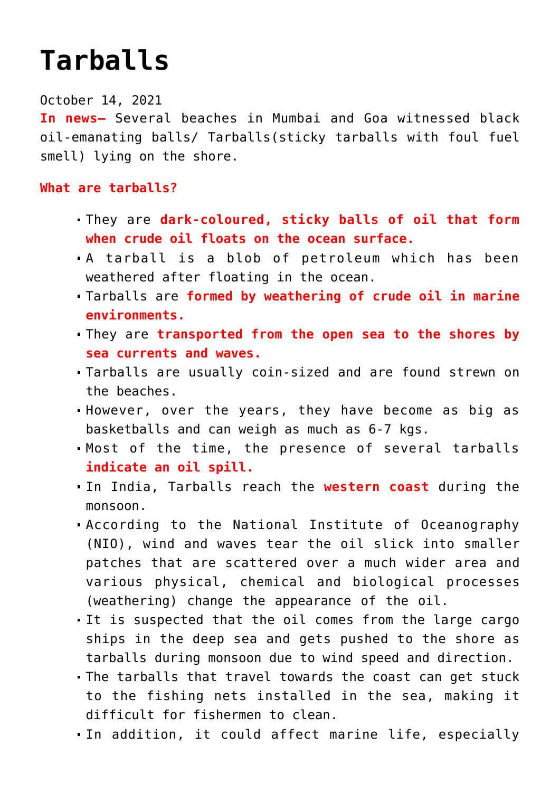## **[Tarballs](https://journalsofindia.com/tarballs/)**

## October 14, 2021

**In news–** Several beaches in Mumbai and Goa witnessed black oil-emanating balls/ Tarballs(sticky tarballs with foul fuel smell) lying on the shore.

## **What are tarballs?**

- They are **dark-coloured, sticky balls of oil that form when crude oil floats on the ocean surface.**
- A tarball is a blob of petroleum which has been weathered after floating in the ocean.
- Tarballs are **formed by weathering of crude oil in marine environments.**
- They are **transported from the open sea to the shores by sea currents and waves.**
- Tarballs are usually coin-sized and are found strewn on the beaches.
- However, over the years, they have become as big as basketballs and can weigh as much as 6-7 kgs.
- Most of the time, the presence of several tarballs **indicate an oil spill.**
- In India, Tarballs reach the **western coast** during the monsoon.
- According to the National Institute of Oceanography (NIO), wind and waves tear the oil slick into smaller patches that are scattered over a much wider area and various physical, chemical and biological processes (weathering) change the appearance of the oil.
- It is suspected that the oil comes from the large cargo ships in the deep sea and gets pushed to the shore as tarballs during monsoon due to wind speed and direction.
- The tarballs that travel towards the coast can get stuck to the fishing nets installed in the sea, making it difficult for fishermen to clean.
- In addition, it could affect marine life, especially